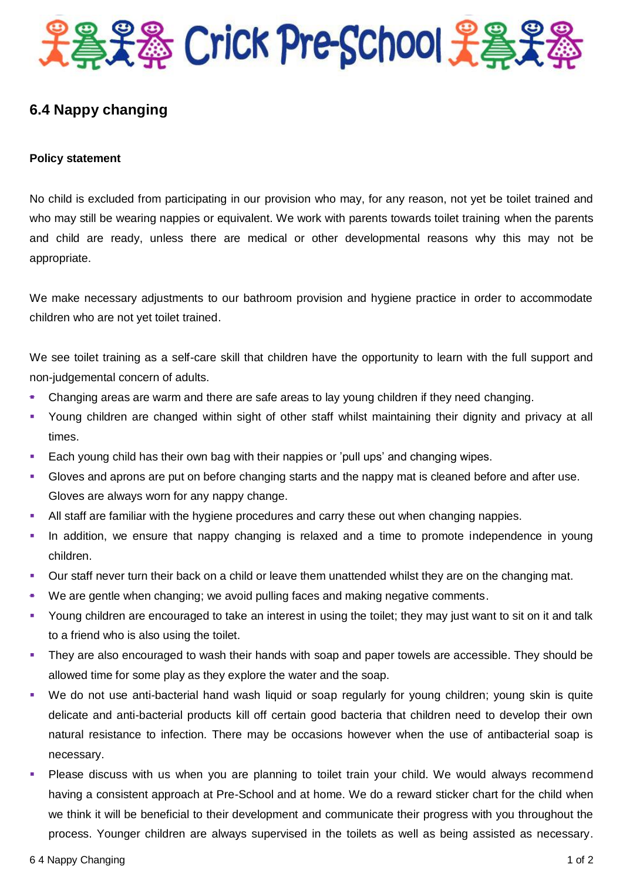

## **6.4 Nappy changing**

## **Policy statement**

No child is excluded from participating in our provision who may, for any reason, not yet be toilet trained and who may still be wearing nappies or equivalent. We work with parents towards toilet training when the parents and child are ready, unless there are medical or other developmental reasons why this may not be appropriate.

We make necessary adjustments to our bathroom provision and hygiene practice in order to accommodate children who are not yet toilet trained.

We see toilet training as a self-care skill that children have the opportunity to learn with the full support and non-judgemental concern of adults.

- Changing areas are warm and there are safe areas to lay young children if they need changing.
- Young children are changed within sight of other staff whilst maintaining their dignity and privacy at all times.
- **Each young child has their own bag with their nappies or 'pull ups' and changing wipes.**
- Gloves and aprons are put on before changing starts and the nappy mat is cleaned before and after use. Gloves are always worn for any nappy change.
- All staff are familiar with the hygiene procedures and carry these out when changing nappies.
- In addition, we ensure that nappy changing is relaxed and a time to promote independence in young children.
- Our staff never turn their back on a child or leave them unattended whilst they are on the changing mat.
- We are gentle when changing; we avoid pulling faces and making negative comments.
- Young children are encouraged to take an interest in using the toilet; they may just want to sit on it and talk to a friend who is also using the toilet.
- They are also encouraged to wash their hands with soap and paper towels are accessible. They should be allowed time for some play as they explore the water and the soap.
- We do not use anti-bacterial hand wash liquid or soap regularly for young children; young skin is quite delicate and anti-bacterial products kill off certain good bacteria that children need to develop their own natural resistance to infection. There may be occasions however when the use of antibacterial soap is necessary.
- Please discuss with us when you are planning to toilet train your child. We would always recommend having a consistent approach at Pre-School and at home. We do a reward sticker chart for the child when we think it will be beneficial to their development and communicate their progress with you throughout the process. Younger children are always supervised in the toilets as well as being assisted as necessary.